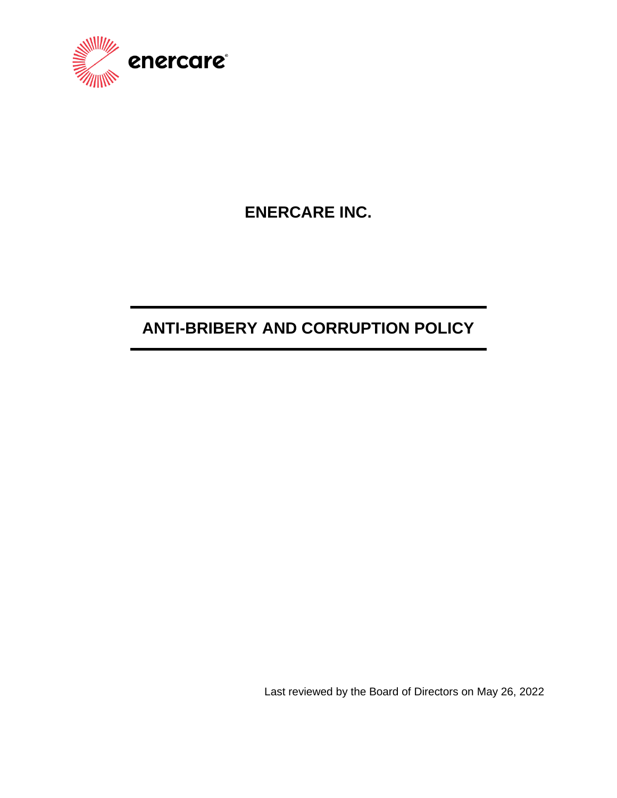

# **ENERCARE INC.**

# **ANTI-BRIBERY AND CORRUPTION POLICY**

Last reviewed by the Board of Directors on May 26, 2022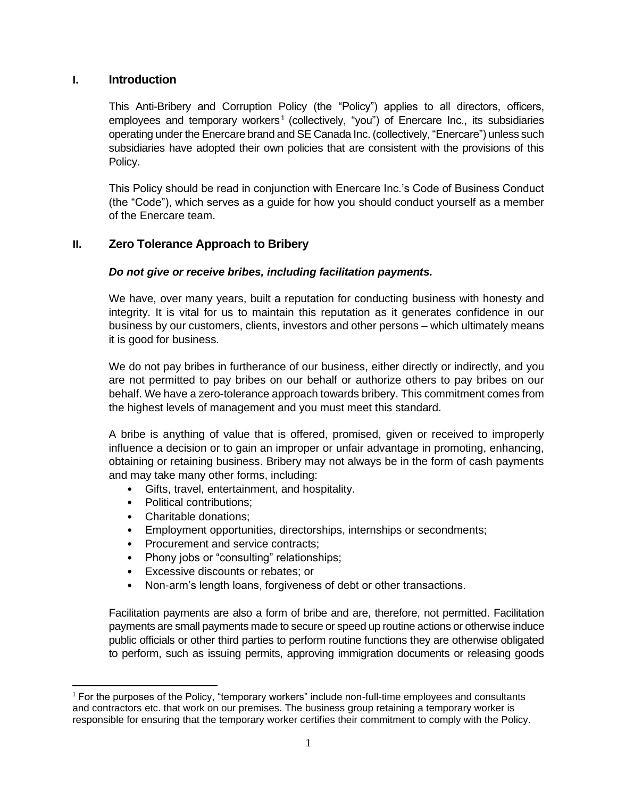# **I. Introduction**

This Anti-Bribery and Corruption Policy (the "Policy") applies to all directors, officers, employees and temporary workers<sup>1</sup> (collectively, "you") of Enercare Inc., its subsidiaries operating under the Enercare brand and SE Canada Inc. (collectively, "Enercare") unless such subsidiaries have adopted their own policies that are consistent with the provisions of this Policy.

This Policy should be read in conjunction with Enercare Inc.'s Code of Business Conduct (the "Code"), which serves as a guide for how you should conduct yourself as a member of the Enercare team.

# **II. Zero Tolerance Approach to Bribery**

# *Do not give or receive bribes, including facilitation payments.*

We have, over many years, built a reputation for conducting business with honesty and integrity. It is vital for us to maintain this reputation as it generates confidence in our business by our customers, clients, investors and other persons – which ultimately means it is good for business.

We do not pay bribes in furtherance of our business, either directly or indirectly, and you are not permitted to pay bribes on our behalf or authorize others to pay bribes on our behalf. We have a zero-tolerance approach towards bribery. This commitment comes from the highest levels of management and you must meet this standard.

A bribe is anything of value that is offered, promised, given or received to improperly influence a decision or to gain an improper or unfair advantage in promoting, enhancing, obtaining or retaining business. Bribery may not always be in the form of cash payments and may take many other forms, including:

- Gifts, travel, entertainment, and hospitality.
- Political contributions:
- Charitable donations;
- Employment opportunities, directorships, internships or secondments;
- Procurement and service contracts;
- Phony jobs or "consulting" relationships;
- Excessive discounts or rebates; or
- Non-arm's length loans, forgiveness of debt or other transactions.

Facilitation payments are also a form of bribe and are, therefore, not permitted. Facilitation payments are small payments made to secure or speed up routine actions or otherwise induce public officials or other third parties to perform routine functions they are otherwise obligated to perform, such as issuing permits, approving immigration documents or releasing goods

<sup>1</sup> For the purposes of the Policy, "temporary workers" include non-full-time employees and consultants and contractors etc. that work on our premises. The business group retaining a temporary worker is responsible for ensuring that the temporary worker certifies their commitment to comply with the Policy.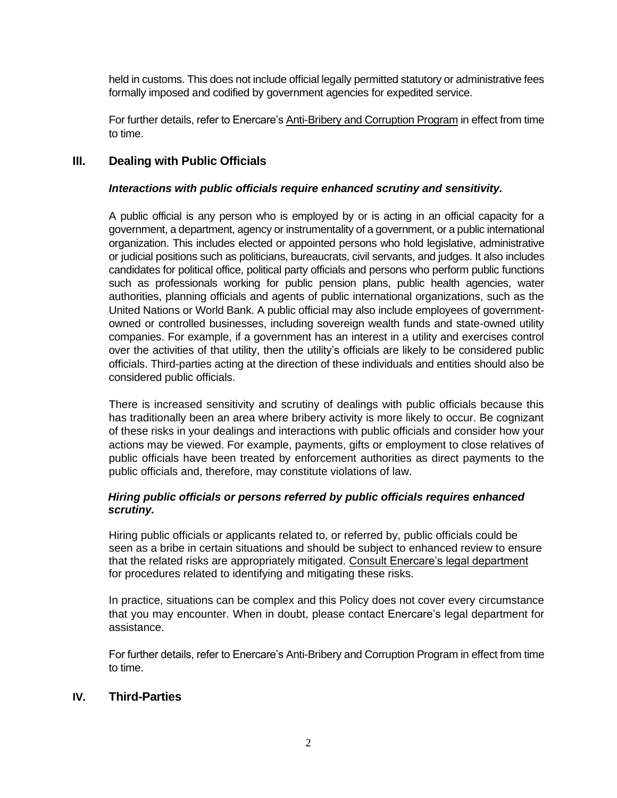held in customs. This does not include official legally permitted statutory or administrative fees formally imposed and codified by government agencies for expedited service.

For further details, refer to Enercare's Anti-Bribery and Corruption Program in effect from time to time.

# **III. Dealing with Public Officials**

## *Interactions with public officials require enhanced scrutiny and sensitivity.*

A public official is any person who is employed by or is acting in an official capacity for a government, a department, agency or instrumentality of a government, or a public international organization. This includes elected or appointed persons who hold legislative, administrative or judicial positions such as politicians, bureaucrats, civil servants, and judges. It also includes candidates for political office, political party officials and persons who perform public functions such as professionals working for public pension plans, public health agencies, water authorities, planning officials and agents of public international organizations, such as the United Nations or World Bank. A public official may also include employees of governmentowned or controlled businesses, including sovereign wealth funds and state-owned utility companies. For example, if a government has an interest in a utility and exercises control over the activities of that utility, then the utility's officials are likely to be considered public officials. Third-parties acting at the direction of these individuals and entities should also be considered public officials.

There is increased sensitivity and scrutiny of dealings with public officials because this has traditionally been an area where bribery activity is more likely to occur. Be cognizant of these risks in your dealings and interactions with public officials and consider how your actions may be viewed. For example, payments, gifts or employment to close relatives of public officials have been treated by enforcement authorities as direct payments to the public officials and, therefore, may constitute violations of law.

## *Hiring public officials or persons referred by public officials requires enhanced scrutiny.*

Hiring public officials or applicants related to, or referred by, public officials could be seen as a bribe in certain situations and should be subject to enhanced review to ensure that the related risks are appropriately mitigated. Consult Enercare's legal department for procedures related to identifying and mitigating these risks.

In practice, situations can be complex and this Policy does not cover every circumstance that you may encounter. When in doubt, please contact Enercare's legal department for assistance.

For further details, refer to Enercare's Anti-Bribery and Corruption Program in effect from time to time.

## **IV. Third-Parties**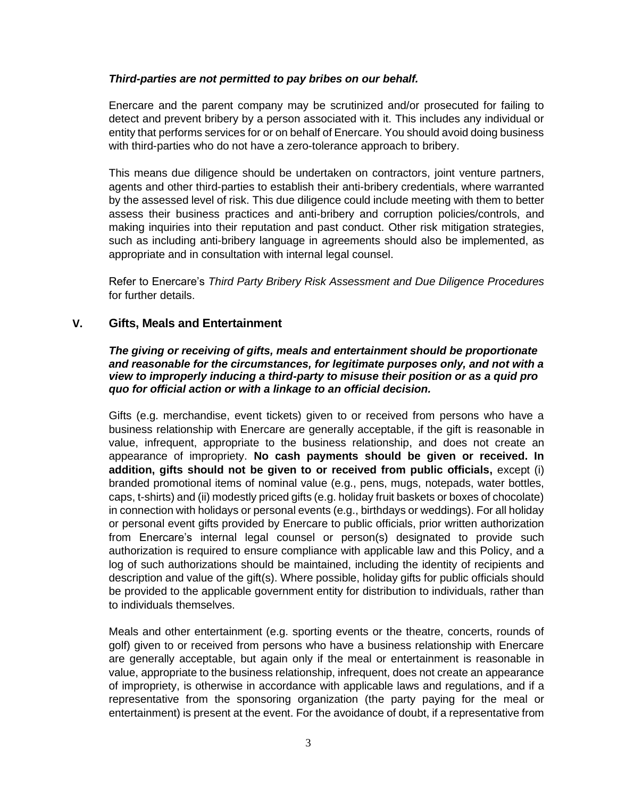#### *Third-parties are not permitted to pay bribes on our behalf.*

Enercare and the parent company may be scrutinized and/or prosecuted for failing to detect and prevent bribery by a person associated with it. This includes any individual or entity that performs services for or on behalf of Enercare. You should avoid doing business with third-parties who do not have a zero-tolerance approach to bribery.

This means due diligence should be undertaken on contractors, joint venture partners, agents and other third-parties to establish their anti-bribery credentials, where warranted by the assessed level of risk. This due diligence could include meeting with them to better assess their business practices and anti-bribery and corruption policies/controls, and making inquiries into their reputation and past conduct. Other risk mitigation strategies, such as including anti-bribery language in agreements should also be implemented, as appropriate and in consultation with internal legal counsel.

Refer to Enercare's *Third Party Bribery Risk Assessment and Due Diligence Procedures* for further details.

## **V. Gifts, Meals and Entertainment**

#### *The giving or receiving of gifts, meals and entertainment should be proportionate and reasonable for the circumstances, for legitimate purposes only, and not with a view to improperly inducing a third-party to misuse their position or as a quid pro quo for official action or with a linkage to an official decision.*

Gifts (e.g. merchandise, event tickets) given to or received from persons who have a business relationship with Enercare are generally acceptable, if the gift is reasonable in value, infrequent, appropriate to the business relationship, and does not create an appearance of impropriety. **No cash payments should be given or received. In addition, gifts should not be given to or received from public officials,** except (i) branded promotional items of nominal value (e.g., pens, mugs, notepads, water bottles, caps, t-shirts) and (ii) modestly priced gifts (e.g. holiday fruit baskets or boxes of chocolate) in connection with holidays or personal events (e.g., birthdays or weddings). For all holiday or personal event gifts provided by Enercare to public officials, prior written authorization from Enercare's internal legal counsel or person(s) designated to provide such authorization is required to ensure compliance with applicable law and this Policy, and a log of such authorizations should be maintained, including the identity of recipients and description and value of the gift(s). Where possible, holiday gifts for public officials should be provided to the applicable government entity for distribution to individuals, rather than to individuals themselves.

Meals and other entertainment (e.g. sporting events or the theatre, concerts, rounds of golf) given to or received from persons who have a business relationship with Enercare are generally acceptable, but again only if the meal or entertainment is reasonable in value, appropriate to the business relationship, infrequent, does not create an appearance of impropriety, is otherwise in accordance with applicable laws and regulations, and if a representative from the sponsoring organization (the party paying for the meal or entertainment) is present at the event. For the avoidance of doubt, if a representative from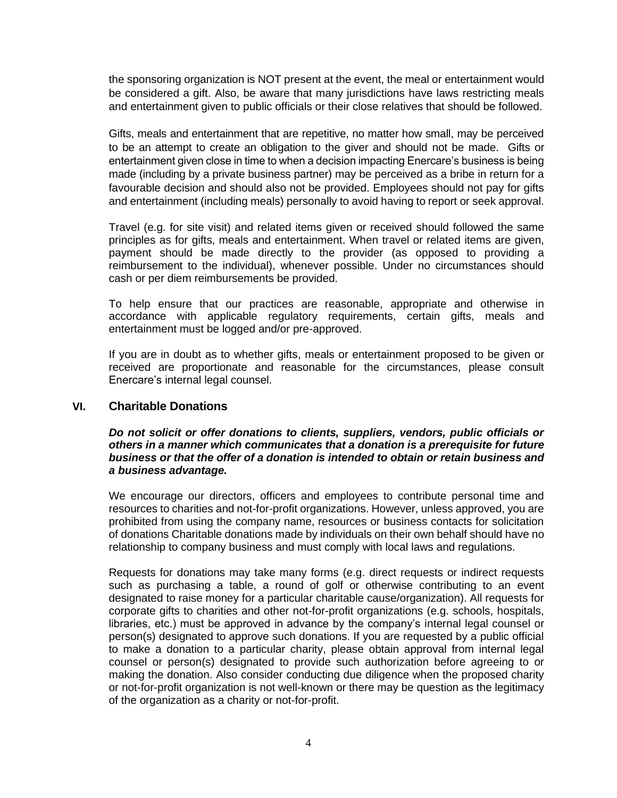the sponsoring organization is NOT present at the event, the meal or entertainment would be considered a gift. Also, be aware that many jurisdictions have laws restricting meals and entertainment given to public officials or their close relatives that should be followed.

Gifts, meals and entertainment that are repetitive, no matter how small, may be perceived to be an attempt to create an obligation to the giver and should not be made. Gifts or entertainment given close in time to when a decision impacting Enercare's business is being made (including by a private business partner) may be perceived as a bribe in return for a favourable decision and should also not be provided. Employees should not pay for gifts and entertainment (including meals) personally to avoid having to report or seek approval.

Travel (e.g. for site visit) and related items given or received should followed the same principles as for gifts, meals and entertainment. When travel or related items are given, payment should be made directly to the provider (as opposed to providing a reimbursement to the individual), whenever possible. Under no circumstances should cash or per diem reimbursements be provided.

To help ensure that our practices are reasonable, appropriate and otherwise in accordance with applicable regulatory requirements, certain gifts, meals and entertainment must be logged and/or pre-approved.

If you are in doubt as to whether gifts, meals or entertainment proposed to be given or received are proportionate and reasonable for the circumstances, please consult Enercare's internal legal counsel.

## **VI. Charitable Donations**

#### *Do not solicit or offer donations to clients, suppliers, vendors, public officials or others in a manner which communicates that a donation is a prerequisite for future business or that the offer of a donation is intended to obtain or retain business and a business advantage.*

We encourage our directors, officers and employees to contribute personal time and resources to charities and not-for-profit organizations. However, unless approved, you are prohibited from using the company name, resources or business contacts for solicitation of donations Charitable donations made by individuals on their own behalf should have no relationship to company business and must comply with local laws and regulations.

Requests for donations may take many forms (e.g. direct requests or indirect requests such as purchasing a table, a round of golf or otherwise contributing to an event designated to raise money for a particular charitable cause/organization). All requests for corporate gifts to charities and other not-for-profit organizations (e.g. schools, hospitals, libraries, etc.) must be approved in advance by the company's internal legal counsel or person(s) designated to approve such donations. If you are requested by a public official to make a donation to a particular charity, please obtain approval from internal legal counsel or person(s) designated to provide such authorization before agreeing to or making the donation. Also consider conducting due diligence when the proposed charity or not-for-profit organization is not well-known or there may be question as the legitimacy of the organization as a charity or not-for-profit.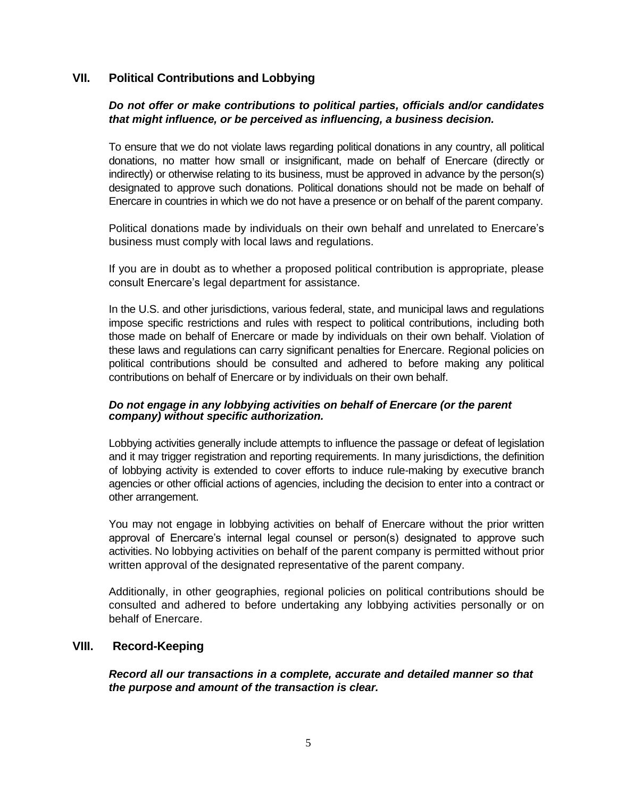# **VII. Political Contributions and Lobbying**

# *Do not offer or make contributions to political parties, officials and/or candidates that might influence, or be perceived as influencing, a business decision.*

To ensure that we do not violate laws regarding political donations in any country, all political donations, no matter how small or insignificant, made on behalf of Enercare (directly or indirectly) or otherwise relating to its business, must be approved in advance by the person(s) designated to approve such donations. Political donations should not be made on behalf of Enercare in countries in which we do not have a presence or on behalf of the parent company.

Political donations made by individuals on their own behalf and unrelated to Enercare's business must comply with local laws and regulations.

If you are in doubt as to whether a proposed political contribution is appropriate, please consult Enercare's legal department for assistance.

In the U.S. and other jurisdictions, various federal, state, and municipal laws and regulations impose specific restrictions and rules with respect to political contributions, including both those made on behalf of Enercare or made by individuals on their own behalf. Violation of these laws and regulations can carry significant penalties for Enercare. Regional policies on political contributions should be consulted and adhered to before making any political contributions on behalf of Enercare or by individuals on their own behalf.

#### *Do not engage in any lobbying activities on behalf of Enercare (or the parent company) without specific authorization.*

Lobbying activities generally include attempts to influence the passage or defeat of legislation and it may trigger registration and reporting requirements. In many jurisdictions, the definition of lobbying activity is extended to cover efforts to induce rule-making by executive branch agencies or other official actions of agencies, including the decision to enter into a contract or other arrangement.

You may not engage in lobbying activities on behalf of Enercare without the prior written approval of Enercare's internal legal counsel or person(s) designated to approve such activities. No lobbying activities on behalf of the parent company is permitted without prior written approval of the designated representative of the parent company.

Additionally, in other geographies, regional policies on political contributions should be consulted and adhered to before undertaking any lobbying activities personally or on behalf of Enercare.

## **VIII. Record-Keeping**

*Record all our transactions in a complete, accurate and detailed manner so that the purpose and amount of the transaction is clear.*